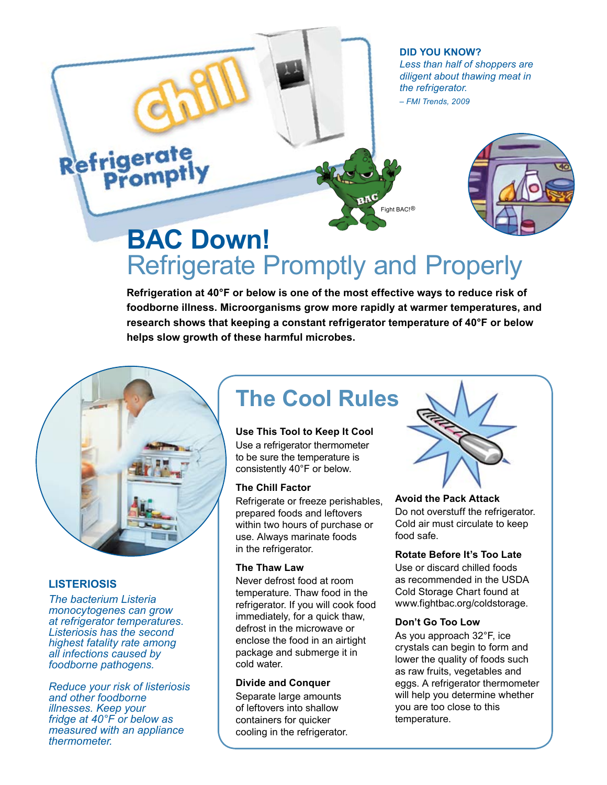**Did You Know?** *Less than half of shoppers are diligent about thawing meat in the refrigerator. – FMI Trends, 2009*

# Refrigerate



# **BAC Down!**  Refrigerate Promptly and Properly

Fight BAC!<sup>®</sup>

**Refrigeration at 40°F or below is one of the most effective ways to reduce risk of foodborne illness. Microorganisms grow more rapidly at warmer temperatures, and research shows that keeping a constant refrigerator temperature of 40°F or below helps slow growth of these harmful microbes.**



#### **LISTERIOSIS**

*The bacterium Listeria monocytogenes can grow at refrigerator temperatures. Listeriosis has the second highest fatality rate among all infections caused by foodborne pathogens.* 

*Reduce your risk of listeriosis and other foodborne illnesses. Keep your fridge at 40°F or below as measured with an appliance thermometer.*

### **The Cool Rules**

#### **Use This Tool to Keep It Cool**

Use a refrigerator thermometer to be sure the temperature is consistently 40°F or below.

#### **The Chill Factor**

Refrigerate or freeze perishables, prepared foods and leftovers within two hours of purchase or use. Always marinate foods in the refrigerator.

#### **The Thaw Law**

Never defrost food at room temperature. Thaw food in the refrigerator. If you will cook food immediately, for a quick thaw, defrost in the microwave or enclose the food in an airtight package and submerge it in cold water.

#### **Divide and Conquer**

Separate large amounts of leftovers into shallow containers for quicker cooling in the refrigerator.



#### **Avoid the Pack Attack**

Do not overstuff the refrigerator. Cold air must circulate to keep food safe.

#### **Rotate Before It's Too Late**

Use or discard chilled foods as recommended in the USDA Cold Storage Chart found at www.fightbac.org/coldstorage.

#### **Don't Go Too Low**

As you approach 32°F, ice crystals can begin to form and lower the quality of foods such as raw fruits, vegetables and eggs. A refrigerator thermometer will help you determine whether you are too close to this temperature.